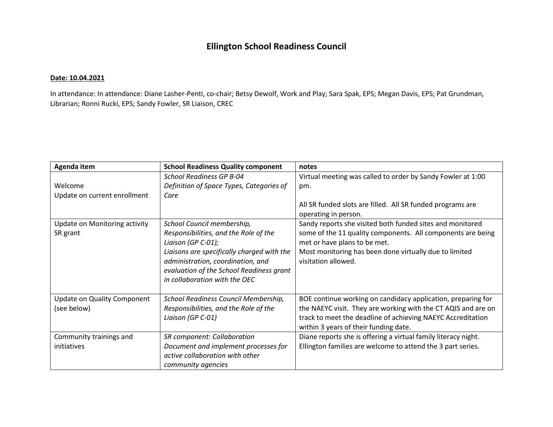## **Ellington School Readiness Council**

## **Date: 10.04.2021**

In attendance: In attendance: Diane Lasher-Penti, co-chair; Betsy Dewolf, Work and Play; Sara Spak, EPS; Megan Davis, EPS; Pat Grundman, Librarian; Ronni Rucki, EPS; Sandy Fowler, SR Liaison, CREC

| Agenda item                                | <b>School Readiness Quality component</b>                                                                                                                                                                                                                 | notes                                                                                                                                                                                                                                     |
|--------------------------------------------|-----------------------------------------------------------------------------------------------------------------------------------------------------------------------------------------------------------------------------------------------------------|-------------------------------------------------------------------------------------------------------------------------------------------------------------------------------------------------------------------------------------------|
|                                            | <b>School Readiness GP B-04</b>                                                                                                                                                                                                                           | Virtual meeting was called to order by Sandy Fowler at 1:00                                                                                                                                                                               |
| Welcome                                    | Definition of Space Types, Categories of                                                                                                                                                                                                                  | pm.                                                                                                                                                                                                                                       |
| Update on current enrollment               | Care                                                                                                                                                                                                                                                      |                                                                                                                                                                                                                                           |
|                                            |                                                                                                                                                                                                                                                           | All SR funded slots are filled. All SR funded programs are<br>operating in person.                                                                                                                                                        |
| Update on Monitoring activity<br>SR grant  | School Council membership,<br>Responsibilities, and the Role of the<br>Liaison (GP C-01);<br>Liaisons are specifically charged with the<br>administration, coordination, and<br>evaluation of the School Readiness grant<br>in collaboration with the OEC | Sandy reports she visited both funded sites and monitored<br>some of the 11 quality components. All components are being<br>met or have plans to be met.<br>Most monitoring has been done virtually due to limited<br>visitation allowed. |
| Update on Quality Component<br>(see below) | School Readiness Council Membership,<br>Responsibilities, and the Role of the<br>Liaison (GP C-01)                                                                                                                                                        | BOE continue working on candidacy application, preparing for<br>the NAEYC visit. They are working with the CT AQIS and are on<br>track to meet the deadline of achieving NAEYC Accreditation<br>within 3 years of their funding date.     |
| Community trainings and<br>initiatives     | <b>SR</b> component: Collaboration<br>Document and implement processes for<br>active collaboration with other<br>community agencies                                                                                                                       | Diane reports she is offering a virtual family literacy night.<br>Ellington families are welcome to attend the 3 part series.                                                                                                             |